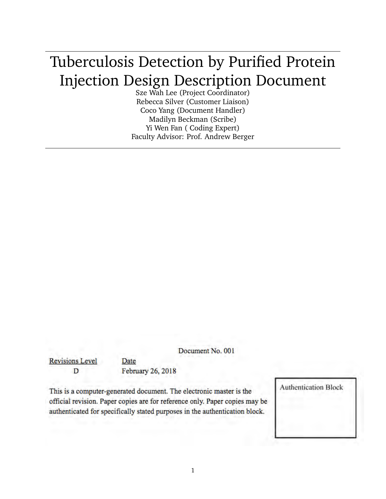# Tuberculosis Detection by Purified Protein Injection Design Description Document

Sze Wah Lee (Project Coordinator) Rebecca Silver (Customer Liaison) Coco Yang (Document Handler) Madilyn Beckman (Scribe) Yi Wen Fan ( Coding Expert) Faculty Advisor: Prof. Andrew Berger

Document No. 001

**Revisions Level** D

February 26, 2018

Date

This is a computer-generated document. The electronic master is the official revision. Paper copies are for reference only. Paper copies may be authenticated for specifically stated purposes in the authentication block.

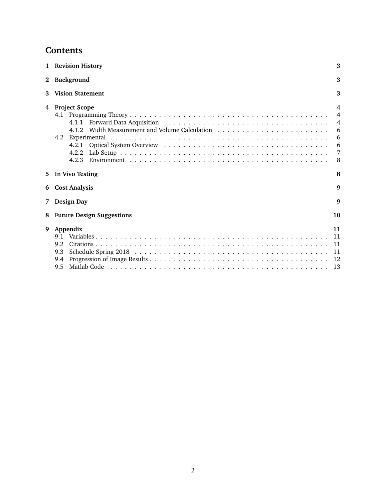# **Contents**

|             | 1 Revision History                                     | 3                                                                           |
|-------------|--------------------------------------------------------|-----------------------------------------------------------------------------|
| $2^{\circ}$ | Background                                             | 3                                                                           |
| 3           | <b>Vision Statement</b>                                | 3                                                                           |
| 4           | <b>Project Scope</b><br>4.1.1<br>4.2<br>4.2.1<br>4.2.2 | $\overline{4}$<br>$\overline{4}$<br>$\overline{4}$<br>6<br>6<br>6<br>7<br>8 |
| 5.          | In Vivo Testing                                        | 8                                                                           |
|             | 6 Cost Analysis                                        | 9                                                                           |
| 7           | Design Day                                             | 9                                                                           |
| 8           | <b>Future Design Suggestions</b>                       | 10                                                                          |
| 9           | Appendix<br>9.1<br>9.2<br>9.3<br>9.4                   | 11<br>11<br>11<br>11<br>12                                                  |
|             | 9.5                                                    | 13                                                                          |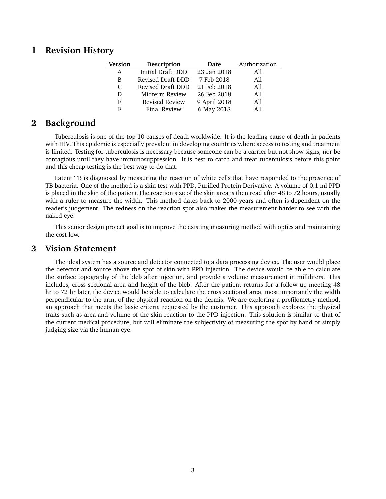# **1 Revision History**

| <b>Version</b> | Description<br>Date |              | Authorization |  |
|----------------|---------------------|--------------|---------------|--|
| A              | Initial Draft DDD   | 23 Jan 2018  | All           |  |
| B              | Revised Draft DDD   | 7 Feb 2018   | All           |  |
| C              | Revised Draft DDD   | 21 Feb 2018  | All           |  |
| D              | Midterm Review      | 26 Feb 2018  | A11           |  |
| E.             | Revised Review      | 9 April 2018 | All           |  |
| F              | <b>Final Review</b> | 6 May 2018   | A11           |  |

# **2 Background**

Tuberculosis is one of the top 10 causes of death worldwide. It is the leading cause of death in patients with HIV. This epidemic is especially prevalent in developing countries where access to testing and treatment is limited. Testing for tuberculosis is necessary because someone can be a carrier but not show signs, nor be contagious until they have immunosuppression. It is best to catch and treat tuberculosis before this point and this cheap testing is the best way to do that.

Latent TB is diagnosed by measuring the reaction of white cells that have responded to the presence of TB bacteria. One of the method is a skin test with PPD, Purified Protein Derivative. A volume of 0.1 ml PPD is placed in the skin of the patient.The reaction size of the skin area is then read after 48 to 72 hours, usually with a ruler to measure the width. This method dates back to 2000 years and often is dependent on the reader's judgement. The redness on the reaction spot also makes the measurement harder to see with the naked eye.

This senior design project goal is to improve the existing measuring method with optics and maintaining the cost low.

## **3 Vision Statement**

The ideal system has a source and detector connected to a data processing device. The user would place the detector and source above the spot of skin with PPD injection. The device would be able to calculate the surface topography of the bleb after injection, and provide a volume measurement in milliliters. This includes, cross sectional area and height of the bleb. After the patient returns for a follow up meeting 48 hr to 72 hr later, the device would be able to calculate the cross sectional area, most importantly the width perpendicular to the arm, of the physical reaction on the dermis. We are exploring a profilometry method, an approach that meets the basic criteria requested by the customer. This approach explores the physical traits such as area and volume of the skin reaction to the PPD injection. This solution is similar to that of the current medical procedure, but will eliminate the subjectivity of measuring the spot by hand or simply judging size via the human eye.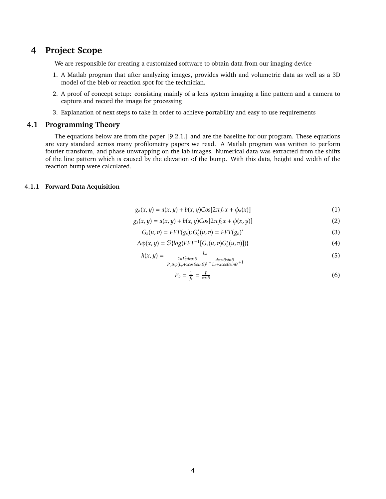# **4 Project Scope**

We are responsible for creating a customized software to obtain data from our imaging device

- 1. A Matlab program that after analyzing images, provides width and volumetric data as well as a 3D model of the bleb or reaction spot for the technician.
- 2. A proof of concept setup: consisting mainly of a lens system imaging a line pattern and a camera to capture and record the image for processing
- 3. Explanation of next steps to take in order to achieve portability and easy to use requirements

## **4.1 Programming Theory**

The equations below are from the paper [9.2.1.] and are the baseline for our program. These equations are very standard across many profilometry papers we read. A Matlab program was written to perform fourier transform, and phase unwrapping on the lab images. Numerical data was extracted from the shifts of the line pattern which is caused by the elevation of the bump. With this data, height and width of the reaction bump were calculated.

## **4.1.1 Forward Data Acquisition**

$$
g_o(x, y) = a(x, y) + b(x, y) \text{Cos}[2\pi f_o x + \phi_o(x)] \tag{1}
$$

$$
g_s(x, y) = a(x, y) + b(x, y) \text{Cos}[2\pi f_o x + \phi(x, y)] \tag{2}
$$

$$
G_s(u,v) = FFT(g_s); G_o^*(u,v) = FFT(g_o)^*
$$
\n(3)

$$
\Delta \phi(x, y) = \Im \{ \log(FFT^{-1}[G_s(u, v)G_o^*(u, v)]) \}
$$
\n(4)

$$
h(x, y) = \frac{L_o}{\frac{2\pi L_o^2 d\cos\theta}{P_o \Delta \phi (L_o + x \cos\theta \sin\theta)^2} - \frac{d\cos\theta \sin\theta}{L_o + x \cos\theta \sin\theta} + 1}
$$
(5)

$$
P_o = \frac{1}{f_o} = \frac{P}{\cos \theta} \tag{6}
$$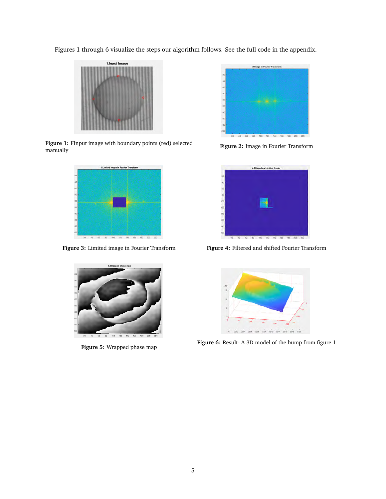Figures 1 through 6 visualize the steps our algorithm follows. See the full code in the appendix.



**Figure 1:** FInput image with boundary points (red) selected **Figure 1:** Figure 1: Fingut Image with boundary points (red) selected Figure 2: Image in Fourier Transform manually





**Figure 5:** Wrapped phase map





**Figure 3:** Limited image in Fourier Transform **Figure 4:** Filtered and shifted Fourier Transform



**Figure 6:** Result- A 3D model of the bump from figure 1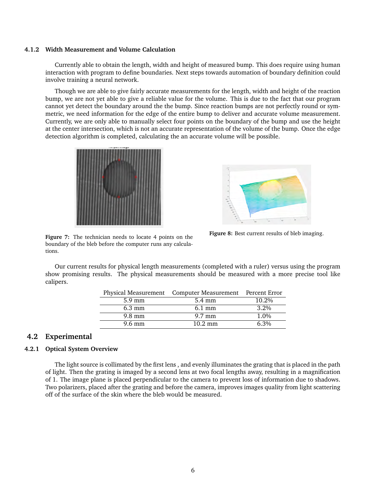#### **4.1.2 Width Measurement and Volume Calculation**

Currently able to obtain the length, width and height of measured bump. This does require using human interaction with program to define boundaries. Next steps towards automation of boundary definition could involve training a neural network.

Though we are able to give fairly accurate measurements for the length, width and height of the reaction bump, we are not yet able to give a reliable value for the volume. This is due to the fact that our program cannot yet detect the boundary around the the bump. Since reaction bumps are not perfectly round or symmetric, we need information for the edge of the entire bump to deliver and accurate volume measurement. Currently, we are only able to manually select four points on the boundary of the bump and use the height at the center intersection, which is not an accurate representation of the volume of the bump. Once the edge detection algorithm is completed, calculating the an accurate volume will be possible.





**Figure 8:** Best current results of bleb imaging.

**Figure 7:** The technician needs to locate 4 points on the boundary of the bleb before the computer runs any calculations.

Our current results for physical length measurements (completed with a ruler) versus using the program show promising results. The physical measurements should be measured with a more precise tool like calipers.

|                  | Physical Measurement  Computer Measurement  Percent Error |         |  |
|------------------|-----------------------------------------------------------|---------|--|
| $5.9 \text{ mm}$ | 5.4 mm                                                    | 10.2%   |  |
| $6.3 \text{ mm}$ | $6.1 \text{ mm}$                                          | $3.2\%$ |  |
| $9.8 \text{ mm}$ | $9.7 \text{ mm}$                                          | 1.0%    |  |
| $9.6 \text{ mm}$ | $10.2 \text{ mm}$                                         | $6.3\%$ |  |
|                  |                                                           |         |  |

## **4.2 Experimental**

## **4.2.1 Optical System Overview**

The light source is collimated by the first lens , and evenly illuminates the grating that is placed in the path of light. Then the grating is imaged by a second lens at two focal lengths away, resulting in a magnification of 1. The image plane is placed perpendicular to the camera to prevent loss of information due to shadows. Two polarizers, placed after the grating and before the camera, improves images quality from light scattering off of the surface of the skin where the bleb would be measured.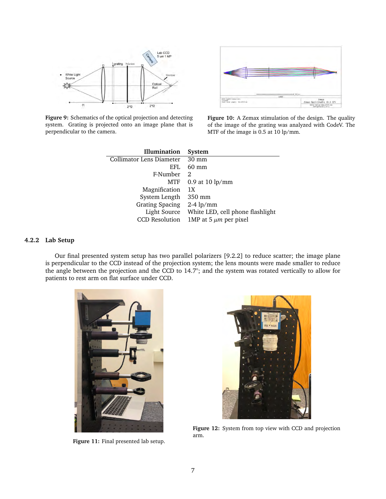

**Figure 9:** Schematics of the optical projection and detecting system. Grating is projected onto an image plane that is perpendicular to the camera.



**Figure 10:** A Zemax stimulation of the design. The quality of the image of the grating was analyzed with CodeV. The MTF of the image is 0.5 at 10 lp/mm.

| Illumination             | System                           |
|--------------------------|----------------------------------|
| Collimator Lens Diameter | $30 \text{ mm}$                  |
| EFL                      | $60 \text{ mm}$                  |
| F-Number                 | $\mathcal{D}$                    |
| MTF                      | $0.9$ at $10 \text{ lp/mm}$      |
| Magnification            | 1X                               |
| System Length            | 350 mm                           |
| <b>Grating Spacing</b>   | $2-4$ lp/mm                      |
| Light Source             | White LED, cell phone flashlight |
| <b>CCD</b> Resolution    | 1MP at 5 $\mu$ m per pixel       |

## **4.2.2 Lab Setup**

Our final presented system setup has two parallel polarizers [9.2.2] to reduce scatter; the image plane is perpendicular to the CCD instead of the projection system; the lens mounts were made smaller to reduce the angle between the projection and the CCD to 14.7°; and the system was rotated vertically to allow for patients to rest arm on flat surface under CCD.



**Figure 11:** Final presented lab setup.



**Figure 12:** System from top view with CCD and projection arm.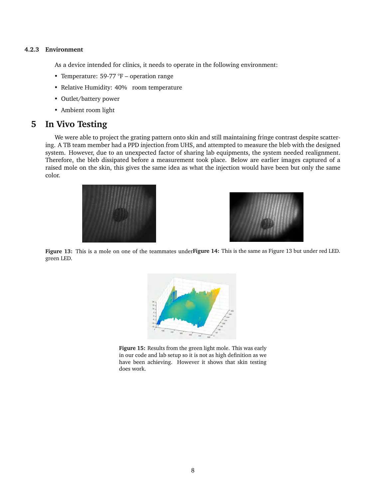## **4.2.3 Environment**

As a device intended for clinics, it needs to operate in the following environment:

- Temperature: 59-77  $\mathrm{F}$  operation range
- Relative Humidity: 40% room temperature
- Outlet/battery power
- Ambient room light

## **5 In Vivo Testing**

We were able to project the grating pattern onto skin and still maintaining fringe contrast despite scattering. A TB team member had a PPD injection from UHS, and attempted to measure the bleb with the designed system. However, due to an unexpected factor of sharing lab equipments, the system needed realignment. Therefore, the bleb dissipated before a measurement took place. Below are earlier images captured of a raised mole on the skin, this gives the same idea as what the injection would have been but only the same color.





**Figure 13:** This is a mole on one of the teammates under **Figure 14:** This is the same as Figure 13 but under red LED. green LED.



**Figure 15:** Results from the green light mole. This was early in our code and lab setup so it is not as high definition as we have been achieving. However it shows that skin testing does work.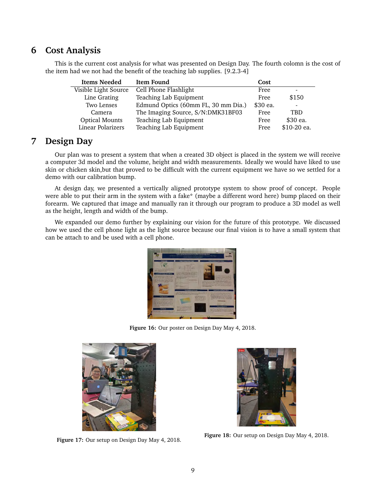# **6 Cost Analysis**

This is the current cost analysis for what was presented on Design Day. The fourth colomn is the cost of the item had we not had the benefit of the teaching lab supplies. [9.2.3-4]

| Items Needed          | Item Found                          | Cost     |                          |
|-----------------------|-------------------------------------|----------|--------------------------|
| Visible Light Source  | Cell Phone Flashlight               | Free     | $\overline{\phantom{0}}$ |
| Line Grating          | Teaching Lab Equipment              | Free     | \$150                    |
| Two Lenses            | Edmund Optics (60mm FL, 30 mm Dia.) | \$30 ea. | $\overline{\phantom{a}}$ |
| Camera                | The Imaging Source, S/N:DMK31BF03   | Free     | TBD                      |
| <b>Optical Mounts</b> | Teaching Lab Equipment              | Free     | \$30 ea.                 |
| Linear Polarizers     | Teaching Lab Equipment              | Free     | \$10-20 ea.              |

# **7 Design Day**

Our plan was to present a system that when a created 3D object is placed in the system we will receive a computer 3d model and the volume, height and width measurements. Ideally we would have liked to use skin or chicken skin,but that proved to be difficult with the current equipment we have so we settled for a demo with our calibration bump.

At design day, we presented a vertically aligned prototype system to show proof of concept. People were able to put their arm in the system with a fake\* (maybe a different word here) bump placed on their forearm. We captured that image and manually ran it through our program to produce a 3D model as well as the height, length and width of the bump.

We expanded our demo further by explaining our vision for the future of this prototype. We discussed how we used the cell phone light as the light source because our final vision is to have a small system that can be attach to and be used with a cell phone.



**Figure 16:** Our poster on Design Day May 4, 2018.



**Figure 17:** Our setup on Design Day May 4, 2018.



**Figure 18:** Our setup on Design Day May 4, 2018.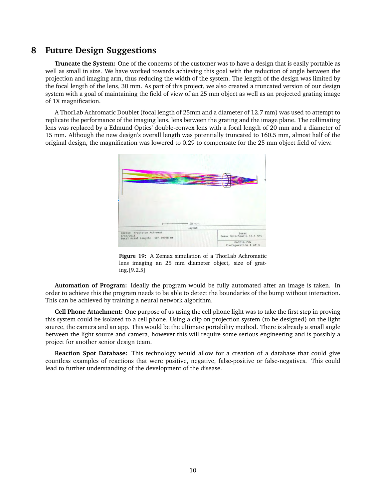# **8 Future Design Suggestions**

**Truncate the System:** One of the concerns of the customer was to have a design that is easily portable as well as small in size. We have worked towards achieving this goal with the reduction of angle between the projection and imaging arm, thus reducing the width of the system. The length of the design was limited by the focal length of the lens, 30 mm. As part of this project, we also created a truncated version of our design system with a goal of maintaining the field of view of an 25 mm object as well as an projected grating image of 1X magnification.

A ThorLab Achromatic Doublet (focal length of 25mm and a diameter of 12.7 mm) was used to attempt to replicate the performance of the imaging lens, lens between the grating and the image plane. The collimating lens was replaced by a Edmund Optics' double-convex lens with a focal length of 20 mm and a diameter of 15 mm. Although the new design's overall length was potentially truncated to 160.5 mm, almost half of the original design, the magnification was lowered to 0.29 to compensate for the 25 mm object field of view.



**Figure 19:** A Zemax simulation of a ThorLab Achromatic lens imaging an 25 mm diameter object, size of grating.[9.2.5]

**Automation of Program:** Ideally the program would be fully automated after an image is taken. In order to achieve this the program needs to be able to detect the boundaries of the bump without interaction. This can be achieved by training a neural network algorithm.

**Cell Phone Attachment:** One purpose of us using the cell phone light was to take the first step in proving this system could be isolated to a cell phone. Using a clip on projection system (to be designed) on the light source, the camera and an app. This would be the ultimate portability method. There is already a small angle between the light source and camera, however this will require some serious engineering and is possibly a project for another senior design team.

**Reaction Spot Database:** This technology would allow for a creation of a database that could give countless examples of reactions that were positive, negative, false-positive or false-negatives. This could lead to further understanding of the development of the disease.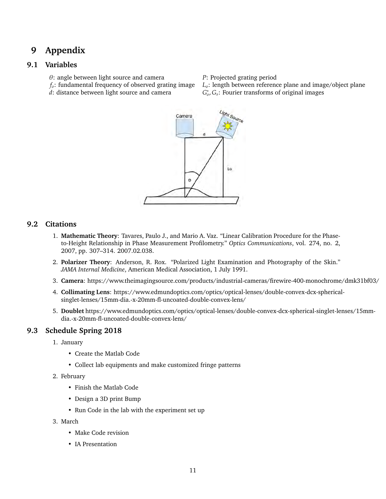# **9 Appendix**

## **9.1 Variables**

- 
- θ: angle between light source and camera *P*: Projected grating period
- *d*: distance between light source and camera
- 
- *L*<sub>0</sub>: length between reference plane and image/object plane
- ∗ *o* , *Gs*: Fourier transforms of original images



## **9.2 Citations**

- 1. **Mathematic Theory**: Tavares, Paulo J., and Mario A. Vaz. "Linear Calibration Procedure for the Phaseto-Height Relationship in Phase Measurement Profilometry." *Optics Communications*, vol. 274, no. 2, 2007, pp. 307–314. 2007.02.038.
- 2. **Polarizer Theory**: Anderson, R. Rox. "Polarized Light Examination and Photography of the Skin." *JAMA Internal Medicine*, American Medical Association, 1 July 1991.
- 3. **Camera**: https://www.theimagingsource.com/products/industrial-cameras/firewire-400-monochrome/dmk31bf03/
- 4. **Collimating Lens**: https://www.edmundoptics.com/optics/optical-lenses/double-convex-dcx-sphericalsinglet-lenses/15mm-dia.-x-20mm-fl-uncoated-double-convex-lens/
- 5. **Doublet** https://www.edmundoptics.com/optics/optical-lenses/double-convex-dcx-spherical-singlet-lenses/15mmdia.-x-20mm-fl-uncoated-double-convex-lens/

# **9.3 Schedule Spring 2018**

- 1. January
	- Create the Matlab Code
	- Collect lab equipments and make customized fringe patterns
- 2. February
	- Finish the Matlab Code
	- Design a 3D print Bump
	- Run Code in the lab with the experiment set up
- 3. March
	- Make Code revision
	- IA Presentation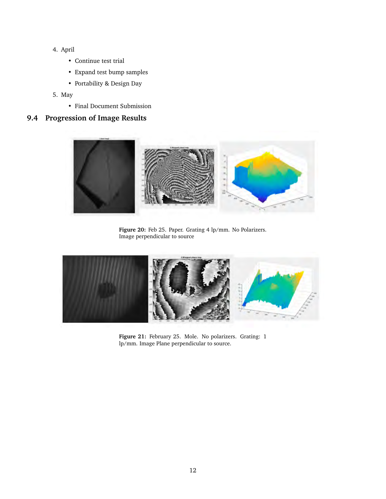- 4. April
	- Continue test trial
	- Expand test bump samples
	- Portability & Design Day
- 5. May
	- Final Document Submission

## **9.4 Progression of Image Results**



Figure 20: Feb 25. Paper. Grating 4 lp/mm. No Polarizers. Image perpendicular to source



**Figure 21:** February 25. Mole. No polarizers. Grating: 1 lp/mm. Image Plane perpendicular to source.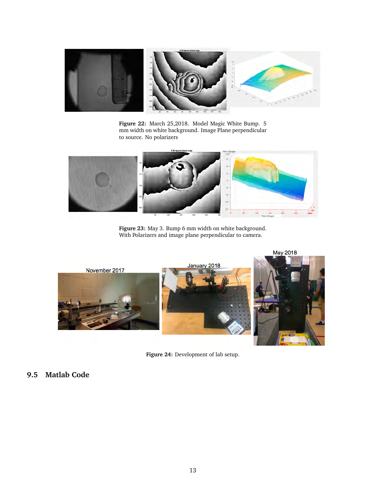

**Figure 22:** March 25,2018. Model Magic White Bump. 5 mm width on white background. Image Plane perpendicular to source. No polarizers



**Figure 23:** May 3. Bump 6 mm width on white background. With Polarizers and image plane perpendicular to camera.



**Figure 24:** Development of lab setup.

## **9.5 Matlab Code**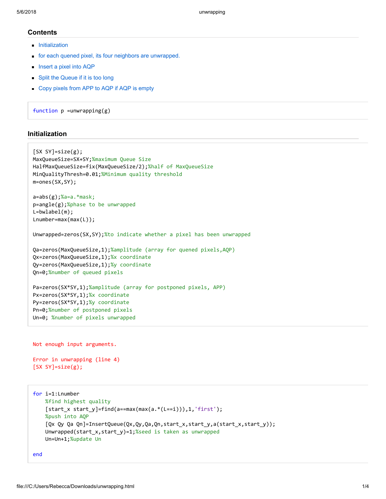## **Contents**

- **[Initialization](#page-13-0)**
- [for each quened pixel, its four neighbors are unwrapped.](#page-14-0)
- **[Insert a pixel into AQP](#page-15-0)**
- **[Split the Queue if it is too long](#page-15-1)**
- [Copy pixels from APP to AQP if AQP is empty](#page-16-0)

function  $p =$ unwrapping(g)

## <span id="page-13-0"></span>Initialization

```
[SX SY]=size(g);MaxQueueSize=SX+SY;%maximum Queue Size
HalfMaxQueueSize=fix(MaxQueueSize/2);%half of MaxQueueSize
MinQualityThresh=0.01;%Minimum quality threshold
m=ones(SX,SY); 
a=abs(g);%a=a.*mask;
p=angle(g);%phase to be unwrapped
L=bwlabel(m); 
Lnumber=max(max(L)); 
Unwrapped=zeros(SX,SY);%to indicate whether a pixel has been unwrapped
Qa=zeros(MaxQueueSize,1);%amplitude (array for quened pixels,AQP)
Qx=zeros(MaxQueueSize,1);%x coordinate
Qy=zeros(MaxQueueSize,1);%y coordinate
Qn=0;%number of queued pixels
Pa=zeros(SX*SY,1);%amplitude (array for postponed pixels, APP)
Px=zeros(SX*SY,1);%x coordinate
Py=zeros(SX*SY,1);%y coordinate
Pn=0;%number of postponed pixels
```

```
Not enough input arguments.
```
Un=0; %number of pixels unwrapped

```
Error in unwrapping (line 4) 
[SX SY]=size(g);
```

```
for i=1:Lnumber 
    %find highest quality
    [start x start y]=find(a==max(max(a.*(L==i))),1,'first');
    %push into AQP
    [Qx Qy Qa Qn] = InsertQueue(Qx,Qy,Qa,Qn,start x,start y,a(stat x,start y));
     Unwrapped(start_x,start_y)=1;%seed is taken as unwrapped
     Un=Un+1;%update Un
```

```
end
```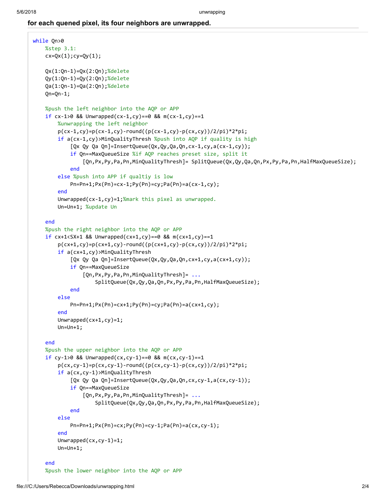## <span id="page-14-0"></span>for each quened pixel, its four neighbors are unwrapped.

```
while Qn>0 
     %step 3.1:
    cx = Qx(1); cy = Qy(1); Qx(1:Qn-1)=Qx(2:Qn);%delete
     Qy(1:Qn-1)=Qy(2:Qn);%delete
     Qa(1:Qn-1)=Qa(2:Qn);%delete
    Qn=Qn-1; %push the left neighbor into the AQP or APP
    if cx-1>0 && Unwrapped(cx-1,cy)==0 && m(cx-1,cy)==1
         %unwrapping the left neighbor
        p(cx-1,cy)=p(cx-1,cy)-round((p(cx-1,cy)-p(cx,cy))/(2/pi)*2*pi; if a(cx-1,cy)>MinQualityThresh %push into AQP if quality is high
             [Qx Qy Qa Qn]=InsertQueue(Qx, Qy, Qa, Qn, cx-1, cy, a(cx-1, cy));
             if Qn==MaxQueueSize %if AQP reaches preset size, split it
                  [Qn,Px,Py,Pa,Pn,MinQualityThresh]= SplitQueue(Qx,Qy,Qa,Qn,Px,Py,Pa,Pn,HalfMaxQueueSize);
             end
         else %push into APP if qualtiy is low
             Pn=Pn+1;Px(Pn)=cx-1;Py(Pn)=cy;Pa(Pn)=a(cx-1,cy); 
         end
        Unwrapped(cx-1,cy)=1;%mark this pixel as unwrapped.
         Un=Un+1; %update Un
     end
     %push the right neighbor into the AQP or APP
    if cx+1 < SX+1 && Unwrapped(cx+1,cy)==0 && m(cx+1,cy)==1
        p(cx+1,cy)=p(cx+1,cy)-round((p(cx+1,cy)-p(cx,cy))/(2/pi)*2*pi; if a(cx+1,cy)>MinQualityThresh 
             [Qx Qy Qa Qn]=InsertQueue(Qx, Qy, Qa, Qn, cx+1,cy, a(cx+1,cy));
             if Qn==MaxQueueSize 
                  [Qn,Px,Py,Pa,Pn,MinQualityThresh]= ...
                      SplitQueue(Qx,Qy,Qa,Qn,Px,Py,Pa,Pn,HalfMaxQueueSize);
             end
         else
             Pn=Pn+1;Px(Pn)=cx+1;Py(Pn)=cy;Pa(Pn)=a(cx+1,cy); 
         end
         Unwrapped(cx+1,cy)=1; 
         Un=Un+1; 
     end
     %push the upper neighbor into the AQP or APP
    if cy-1>0 && Unwrapped(cx, cy-1)==0 && m(cx, cy-1)==1
        p(cx, cy-1)=p(cx, cy-1)-round((p(cx, cy-1)-p(cx, cy))/2/pi)*2*pi; if a(cx,cy-1)>MinQualityThresh 
              [Qx Qy Qa Qn]=InsertQueue(Qx,Qy,Qa,Qn,cx,cy-1,a(cx,cy-1));
             if Qn==MaxQueueSize 
                  [Qn,Px,Py,Pa,Pn,MinQualityThresh]= ...
                      SplitQueue(Qx,Qy,Qa,Qn,Px,Py,Pa,Pn,HalfMaxQueueSize);
             end
         else
             Pn=Pn+1;Px(Pn)=cx;Py(Pn)=cy-1;Pa(Pn)=a(cx,cy-1); 
         end
         Unwrapped(cx,cy-1)=1; 
         Un=Un+1; 
     end
     %push the lower neighbor into the AQP or APP
```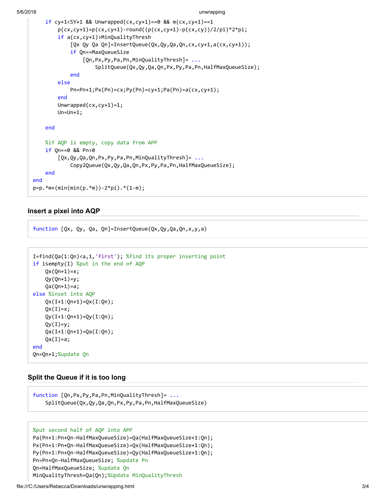```
5/6/2018 unwrapping
```

```
if cy+1<SY+1 && Unwrapped(cx,cy+1)==0 && m(cx,cy+1)==1
        p(cx, cy+1)=p(cx, cy+1)-round((p(cx, cy+1)-p(cx, cy))/2/pi)*2*pi; if a(cx,cy+1)>MinQualityThresh 
              [Qx Qy Qa Qn]=InsertQueue(Qx,Qy,Qa,Qn,cx,cy+1,a(cx,cy+1));
             if Qn==MaxQueueSize 
                  [Qn,Px,Py,Pa,Pn,MinQualityThresh]= ...
                      SplitQueue(Qx,Qy,Qa,Qn,Px,Py,Pa,Pn,HalfMaxQueueSize);
             end
         else
             Pn=Pn+1;Px(Pn)=cx;Py(Pn)=cy+1;Pa(Pn)=a(cx,cy+1); 
         end
         Unwrapped(cx,cy+1)=1; 
         Un=Un+1; 
     end
     %if AQP is empty, copy data from APP
     if Qn==0 && Pn>0 
         [Qx,Qy,Qa,Qn,Px,Py,Pa,Pn,MinQualityThresh]= ...
             Copy2Queue(Qx,Qy,Qa,Qn,Px,Py,Pa,Pn,HalfMaxQueueSize);
     end
end
p=p.*m+(min(min(p.*m))-2*pi).*(1-m);
```
## <span id="page-15-0"></span>Insert a pixel into AQP

function [Qx, Qy, Qa, Qn]=InsertQueue(Qx,Qy,Qa,Qn,x,y,a)

```
I=find(Qa(1:Qn)<a,1,'first'); %find its proper inserting point
if isempty(I) %put in the end of AQP
    Qx(Qn+1)=x;Qy(Qn+1)=y;Qa(Qn+1)=a;else %inset into AQP
     Qx(I+1:Qn+1)=Qx(I:Qn); 
    QX(I)=X; Qy(I+1:Qn+1)=Qy(I:Qn); 
    Qy(I)=y; Qa(I+1:Qn+1)=Qa(I:Qn); 
    Qa(I)=a;end
Qn=Qn+1;%update Qn
```
## <span id="page-15-1"></span>Split the Queue if it is too long

function [Qn,Px,Py,Pa,Pn,MinQualityThresh]= ... SplitQueue(Qx,Qy,Qa,Qn,Px,Py,Pa,Pn,HalfMaxQueueSize)

## %put second half of AQP into APP

```
Pa(Pn+1:Pn+Qn-HalfMaxQueueSize)=Qa(HalfMaxQueueSize+1:Qn); 
Px(Pn+1:Pn+Qn-HalfMaxQueueSize)=Qx(HalfMaxQueueSize+1:Qn); 
Py(Pn+1:Pn+Qn-HalfMaxQueueSize)=Qy(HalfMaxQueueSize+1:Qn); 
Pn=Pn+Qn-HalfMaxQueueSize; %update Pn
Qn=HalfMaxQueueSize; %update Qn
MinQualityThresh=Qa(Qn);%Update MinQualityThresh
```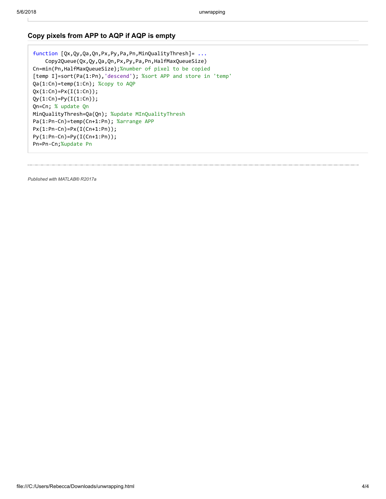## <span id="page-16-0"></span>Copy pixels from APP to AQP if AQP is empty

function [Qx,Qy,Qa,Qn,Px,Py,Pa,Pn,MinQualityThresh]= ... Copy2Queue(Qx,Qy,Qa,Qn,Px,Py,Pa,Pn,HalfMaxQueueSize) Cn=min(Pn,HalfMaxQueueSize);%number of pixel to be copied [temp I]=sort(Pa(1:Pn),'descend'); %sort APP and store in 'temp' Qa(1:Cn)=temp(1:Cn); %copy to AQP  $Qx(1:Cn)=Px(I(1:Cn));$  $Qy(1:Cn) = Py(I(1:Cn));$ Qn=Cn; % update Qn MinQualityThresh=Qa(Qn); %update MInQualityThresh Pa(1:Pn-Cn)=temp(Cn+1:Pn); %arrange APP Px(1:Pn-Cn)=Px(I(Cn+1:Pn)); Py(1:Pn-Cn)=Py(I(Cn+1:Pn)); Pn=Pn-Cn;%update Pn

[Published with MATLAB® R2017a](http://www.mathworks.com/products/matlab/)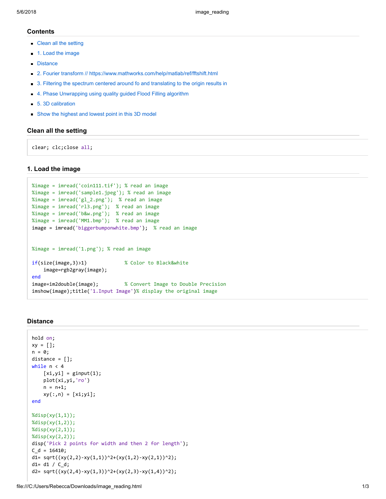#### **Contents**

- [Clean all the setting](#page-17-0)
- [1. Load the image](#page-17-1)
- **[Distance](#page-17-2)**
- **[2. Fourier transform // https://www.mathworks.com/help/matlab/ref/fftshift.html](#page-18-0)**
- [3. Filtering the spectrum centered around fo and translating to the origin results in](#page-18-1)
- [4. Phase Unwrapping using quality guided Flood Filling algorithm](#page-18-2)
- [5. 3D calibration](#page-18-3)
- [Show the highest and lowest point in this 3D model](#page-19-0)

#### <span id="page-17-0"></span>Clean all the setting

clear; clc;close all;

#### <span id="page-17-1"></span>1. Load the image

```
%image = imread('coin111.tif'); % read an image
%image = imread('sample1.jpeg'); % read an image
%image = imread('gl_2.png'); % read an image
%image = imread('rl3.png'); % read an image
%image = imread('b&w.png'); % read an image
%image = imread('MM1.bmp'); % read an image
image = imread('biggerbumponwhite.bmp'); % read an image
%image = imread('1.png'); % read an image
if(size(image,3)>1) % Color to Black&white
     image=rgb2gray(image); 
end
image=im2double(image); % Convert Image to Double Precision
imshow(image);title('1.Input Image')% display the original image
```
#### <span id="page-17-2"></span>**Distance**

```
hold on; 
xy = []; 
n = 0;distance = []; 
while n < 4[xi,yi] = ginput(1); plot(xi,yi,'ro') 
    n = n+1;xy(:,n) = [xi;yi];end
%disp(xy(1,1));%disp(xy(1,2));
%disp(xy(2,1));
%disp(xy(2,2));
disp('Pick 2 points for width and then 2 for length'); 
C_d = 16410;d1= sqrt((xy(2,2)-xy(1,1))^2+(xy(1,2)-xy(2,1))^2);d1 = d1 / C d;d2= sqrt((xy(2,4)-xy(1,3))^2+(xy(2,3)-xy(1,4))^2);
```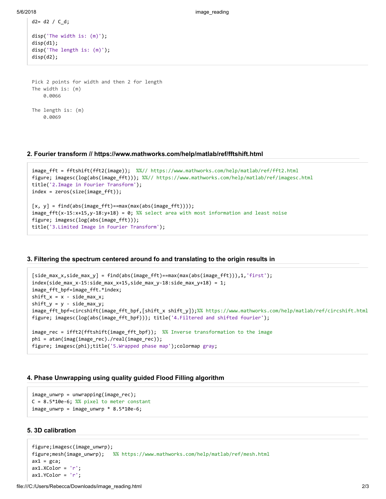```
d2 = d2 / C d;
```

```
disp('The width is: (m)'); 
disp(d1); 
disp('The length is: (m)'); 
disp(d2);
```

```
Pick 2 points for width and then 2 for length 
The width is: (m) 
     0.0066 
The length is: (m) 
     0.0069
```
#### <span id="page-18-0"></span>2. Fourier transform // https://www.mathworks.com/help/matlab/ref/fftshift.html

```
image_fft = fftshift(fft2(image)); %%// https://www.mathworks.com/help/matlab/ref/fft2.html
figure; imagesc(log(abs(image fft))); %%// https://www.mathworks.com/help/matlab/ref/imagesc.html
title('2.Image in Fourier Transform'); 
index = zeros(size(image_fft)); 
[x, y] = find(abs(image_fft) == max(max(abs(image_fft)));
image fft(x-15:x+15,y-18:y+18) = 0; %% select area with most information and least noise
figure; imagesc(log(abs(image fft)));
title('3.Limited Image in Fourier Transform');
```
#### <span id="page-18-1"></span>3. Filtering the spectrum centered around fo and translating to the origin results in

```
[side_max_x,side_max_y] = find(abs(image_fft)==max(max(abs(image_fft))),1,'first'); 
index(side max x-15:side max x+15,side max y-18:side max y+18) = 1;
image_fft_bpf=image_fft.*index; 
shift_x = x - side_max_x;shift_y = y - side_max_y;image_fft_bpf=circshift(image_fft_bpf,[shift_x shift_y]);%% https://www.mathworks.com/help/matlab/ref/circshift.html
figure; imagesc(log(abs(image fft bpf))); title('4.Filtered and shifted fourier');
image_rec = ifft2(fftshift(image_fft_bpf)); %% Inverse transformation to the image
phi = atan(imag(image_rec)./real(image_rec)); 
figure; imagesc(phi);title('5.Wrapped phase map');colormap gray;
```
#### <span id="page-18-2"></span>4. Phase Unwrapping using quality guided Flood Filling algorithm

```
image_unwrp = unwrapping(image_rec); 
C = 8.5*10e-6; %% pixel to meter constant
image_number = image_number * 8.5 * 10e-6;
```
## <span id="page-18-3"></span>5. 3D calibration

```
figure;imagesc(image_unwrp); 
figure;mesh(image_unwrp); %% https://www.mathworks.com/help/matlab/ref/mesh.html
ax1 = gca;ax1.XColor = 'r';ax1.YColor = 'r';
```